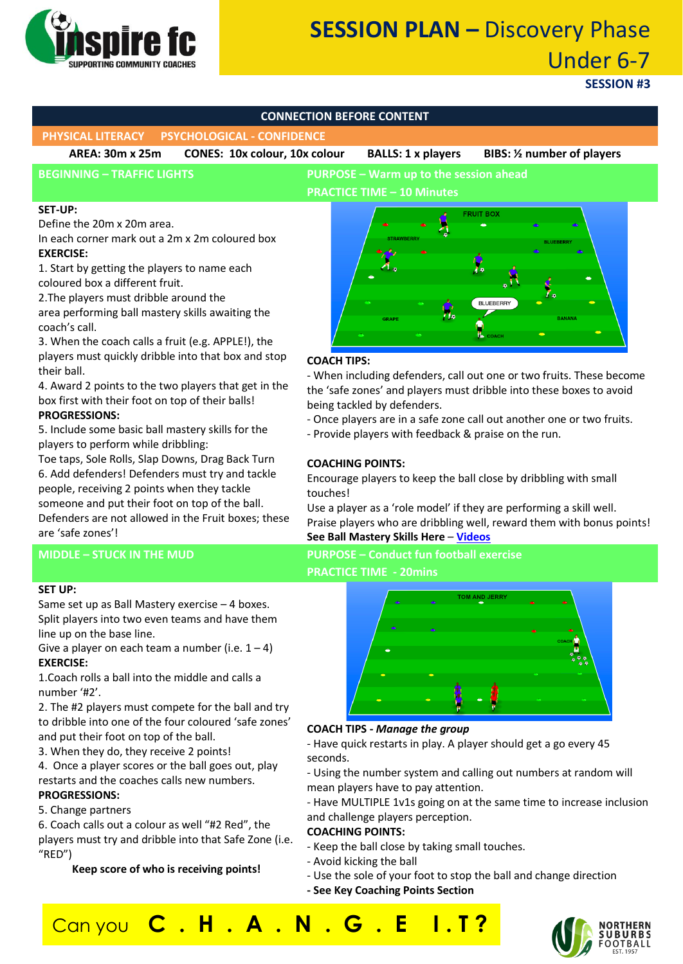

# **SESSION PLAN –** Discovery Phase Under 6-7

### **SESSION #3**

#### **CONNECTION BEFORE CONTENT**

**PHYSICAL LITERACY PSYCHOLOGICAL - CONFIDENCE**

**AREA: 30m x 25m CONES: 10x colour, 10x colour BALLS: 1 x players BIBS: ½ number of players**

**BEGINNING – TRAFFIC LIGHTS PURPOSE – Warm up to the session ahead PRACTICE TIME – 10 Minutes**

#### **SET-UP:**

Define the 20m x 20m area.

In each corner mark out a 2m x 2m coloured box **EXERCISE:**

1. Start by getting the players to name each coloured box a different fruit.

2.The players must dribble around the

area performing ball mastery skills awaiting the coach's call.

3. When the coach calls a fruit (e.g. APPLE!), the players must quickly dribble into that box and stop their ball.

4. Award 2 points to the two players that get in the box first with their foot on top of their balls! **PROGRESSIONS:**

5. Include some basic ball mastery skills for the players to perform while dribbling:

Toe taps, Sole Rolls, Slap Downs, Drag Back Turn 6. Add defenders! Defenders must try and tackle people, receiving 2 points when they tackle someone and put their foot on top of the ball. Defenders are not allowed in the Fruit boxes; these are 'safe zones'!

#### **SET UP:**

Same set up as Ball Mastery exercise – 4 boxes. Split players into two even teams and have them line up on the base line.

Give a player on each team a number (i.e.  $1 - 4$ ) **EXERCISE:**

1.Coach rolls a ball into the middle and calls a number '#2'.

2. The #2 players must compete for the ball and try to dribble into one of the four coloured 'safe zones' and put their foot on top of the ball.

3. When they do, they receive 2 points!

4. Once a player scores or the ball goes out, play restarts and the coaches calls new numbers. **PROGRESSIONS:**

5. Change partners

6. Coach calls out a colour as well "#2 Red", the players must try and dribble into that Safe Zone (i.e. "RED")

**Keep score of who is receiving points!**



#### **COACH TIPS:**

- When including defenders, call out one or two fruits. These become the 'safe zones' and players must dribble into these boxes to avoid being tackled by defenders.

- Once players are in a safe zone call out another one or two fruits.

- Provide players with feedback & praise on the run.

#### **COACHING POINTS:**

Encourage players to keep the ball close by dribbling with small touches!

Use a player as a 'role model' if they are performing a skill well. Praise players who are dribbling well, reward them with bonus points! **See Ball Mastery Skills Here** – **[Videos](https://www.youtube.com/watch?v=iyuDpspxKrA&list=PLBDcjkXHpX9gIxDuT-o8415TM9XKoOtpS&index=11)**

### **MIDDLE – STUCK IN THE MUD PURPOSE – Conduct fun football exercise PRACTICE TIME - 20mins**



#### **COACH TIPS -** *Manage the group*

- Have quick restarts in play. A player should get a go every 45 seconds.

- Using the number system and calling out numbers at random will mean players have to pay attention.

- Have MULTIPLE 1v1s going on at the same time to increase inclusion and challenge players perception.

#### **COACHING POINTS:**

- Keep the ball close by taking small touches.
- Avoid kicking the ball

Can you **C . H . A . N . G . E I . T ?**

- Use the sole of your foot to stop the ball and change direction
- **- See Key Coaching Points Section**